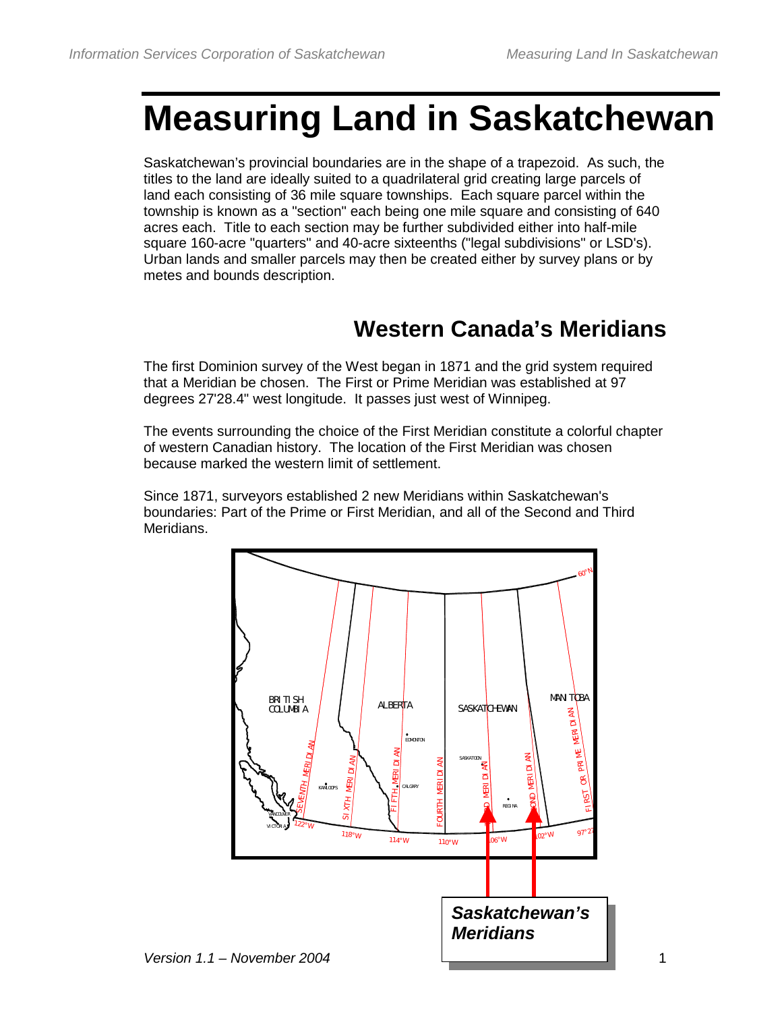# **Measuring Land in Saskatchewan**

Saskatchewan's provincial boundaries are in the shape of a trapezoid. As such, the titles to the land are ideally suited to a quadrilateral grid creating large parcels of land each consisting of 36 mile square townships. Each square parcel within the township is known as a "section" each being one mile square and consisting of 640 acres each. Title to each section may be further subdivided either into half-mile square 160-acre "quarters" and 40-acre sixteenths ("legal subdivisions" or LSD's). Urban lands and smaller parcels may then be created either by survey plans or by metes and bounds description.

## **Western Canada's Meridians**

The first Dominion survey of the West began in 1871 and the grid system required that a Meridian be chosen. The First or Prime Meridian was established at 97 degrees 27'28.4" west longitude. It passes just west of Winnipeg.

The events surrounding the choice of the First Meridian constitute a colorful chapter of western Canadian history. The location of the First Meridian was chosen because marked the western limit of settlement.

Since 1871, surveyors established 2 new Meridians within Saskatchewan's boundaries: Part of the Prime or First Meridian, and all of the Second and Third Meridians.

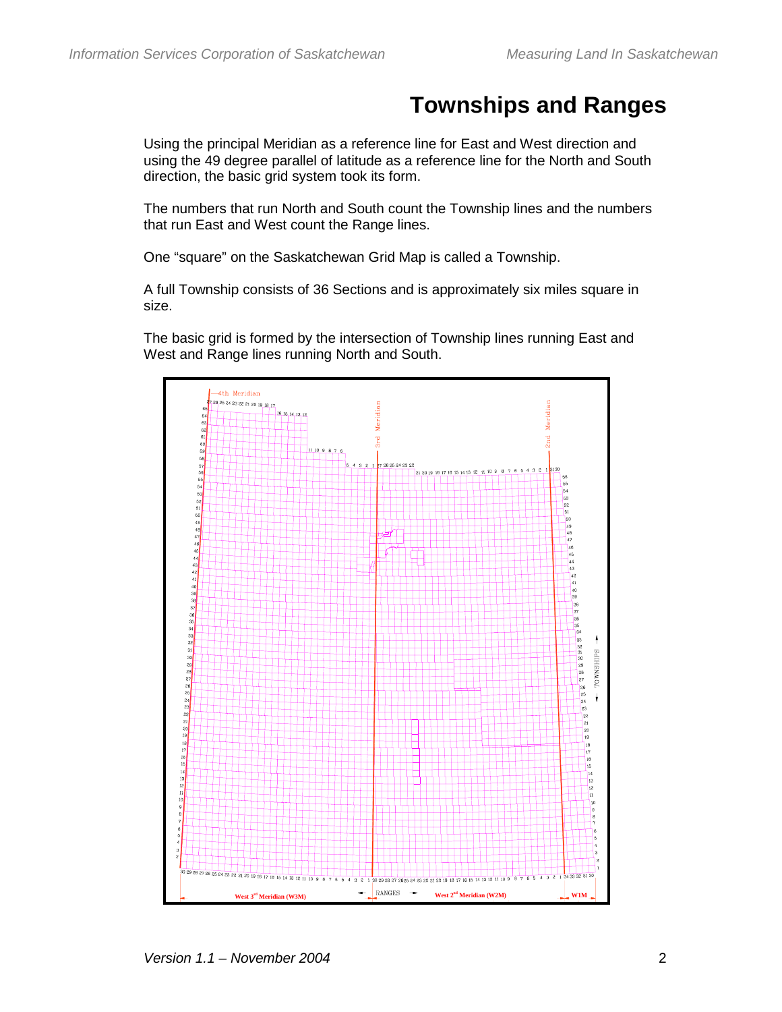## **Townships and Ranges**

Using the principal Meridian as a reference line for East and West direction and using the 49 degree parallel of latitude as a reference line for the North and South direction, the basic grid system took its form.

The numbers that run North and South count the Township lines and the numbers that run East and West count the Range lines.

One "square" on the Saskatchewan Grid Map is called a Township.

A full Township consists of 36 Sections and is approximately six miles square in size.

The basic grid is formed by the intersection of Township lines running East and West and Range lines running North and South.

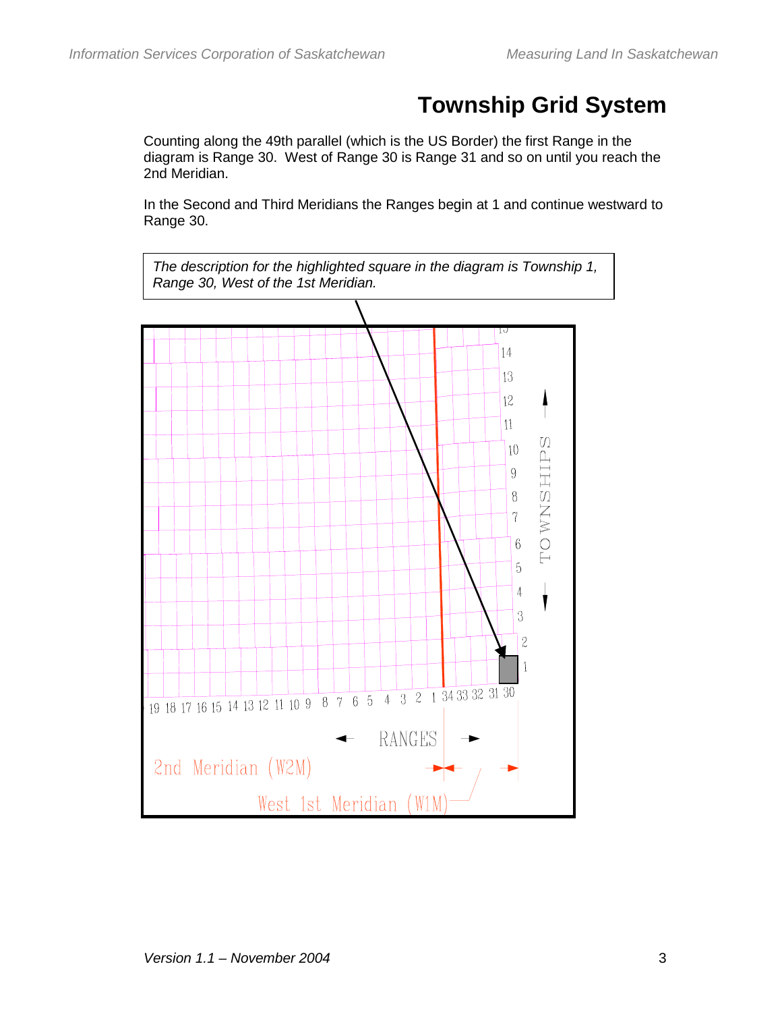# **Township Grid System**

Counting along the 49th parallel (which is the US Border) the first Range in the diagram is Range 30. West of Range 30 is Range 31 and so on until you reach the 2nd Meridian.

In the Second and Third Meridians the Ranges begin at 1 and continue westward to Range 30.

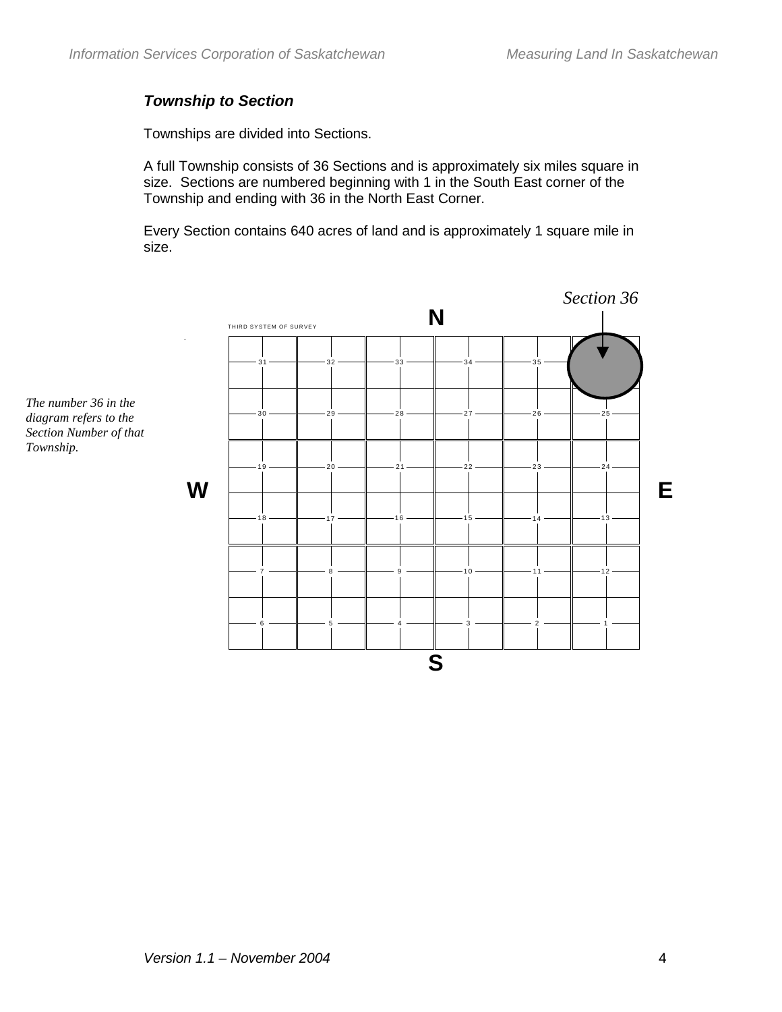### *Township to Section*

Townships are divided into Sections.

A full Township consists of 36 Sections and is approximately six miles square in size. Sections are numbered beginning with 1 in the South East corner of the Township and ending with 36 in the North East Corner.

Every Section contains 640 acres of land and is approximately 1 square mile in size.



*The number 36 in the diagram refers to the Section Number of that Township.*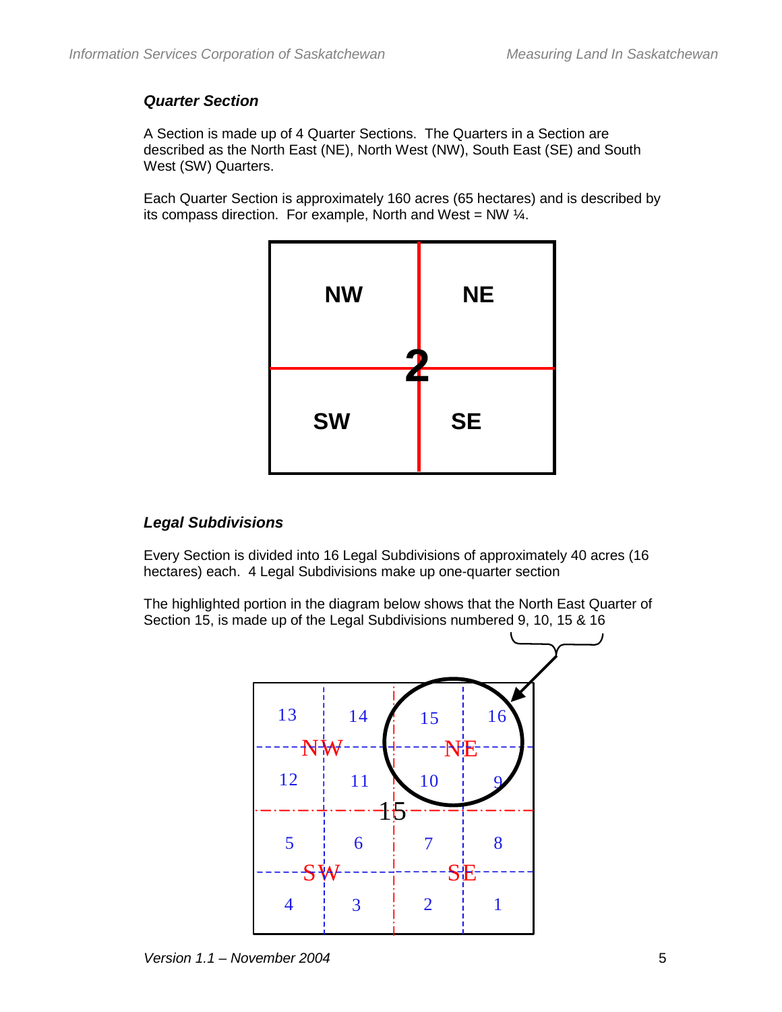#### *Quarter Section*

A Section is made up of 4 Quarter Sections. The Quarters in a Section are described as the North East (NE), North West (NW), South East (SE) and South West (SW) Quarters.

Each Quarter Section is approximately 160 acres (65 hectares) and is described by its compass direction. For example, North and West = NW  $\frac{1}{4}$ .



#### *Legal Subdivisions*

Every Section is divided into 16 Legal Subdivisions of approximately 40 acres (16 hectares) each. 4 Legal Subdivisions make up one-quarter section

The highlighted portion in the diagram below shows that the North East Quarter of Section 15, is made up of the Legal Subdivisions numbered 9, 10, 15 & 16

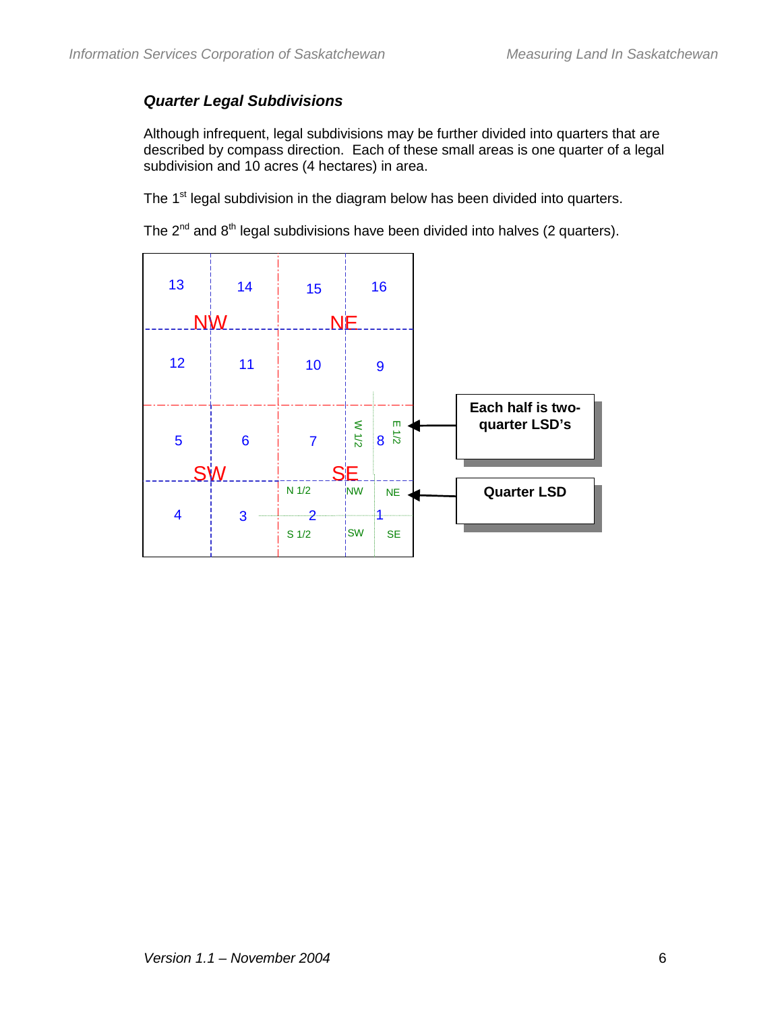#### *Quarter Legal Subdivisions*

Although infrequent, legal subdivisions may be further divided into quarters that are described by compass direction. Each of these small areas is one quarter of a legal subdivision and 10 acres (4 hectares) in area.

The 1<sup>st</sup> legal subdivision in the diagram below has been divided into quarters.

The  $2^{nd}$  and  $8^{th}$  legal subdivisions have been divided into halves (2 quarters).